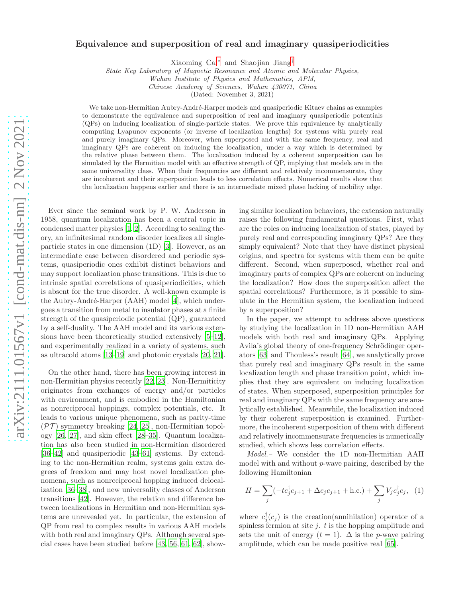## Equivalence and superposition of real and imaginary quasiperiodicities

Xiaoming Cai[∗](#page-4-0) and Shaojian Jiang[†](#page-4-1)

State Key Laboratory of Magnetic Resonance and Atomic and Molecular Physics,

Wuhan Institute of Physics and Mathematics, APM,

Chinese Academy of Sciences, Wuhan 430071, China

(Dated: November 3, 2021)

We take non-Hermitian Aubry-André-Harper models and quasiperiodic Kitaev chains as examples to demonstrate the equivalence and superposition of real and imaginary quasiperiodic potentials (QPs) on inducing localization of single-particle states. We prove this equivalence by analytically computing Lyapunov exponents (or inverse of localization lengths) for systems with purely real and purely imaginary QPs. Moreover, when superposed and with the same frequency, real and imaginary QPs are coherent on inducing the localization, under a way which is determined by the relative phase between them. The localization induced by a coherent superposition can be simulated by the Hermitian model with an effective strength of QP, implying that models are in the same universality class. When their frequencies are different and relatively incommensurate, they are incoherent and their superposition leads to less correlation effects. Numerical results show that the localization happens earlier and there is an intermediate mixed phase lacking of mobility edge.

Ever since the seminal work by P. W. Anderson in 1958, quantum localization has been a central topic in condensed matter physics [\[1](#page-4-2), [2](#page-4-3)]. According to scaling theory, an infinitesimal random disorder localizes all singleparticle states in one dimension (1D) [\[3](#page-4-4)]. However, as an intermediate case between disordered and periodic systems, quasiperiodic ones exhibit distinct behaviors and may support localization phase transitions. This is due to intrinsic spatial correlations of quasiperiodicities, which is absent for the true disorder. A well-known example is the Aubry-André-Harper (AAH) model [\[4\]](#page-4-5), which undergoes a transition from metal to insulator phases at a finite strength of the quasiperiodic potential (QP), guaranteed by a self-duality. The AAH model and its various extensions have been theoretically studied extensively [\[5](#page-4-6)[–12\]](#page-4-7), and experimentally realized in a variety of systems, such as ultracold atoms [\[13](#page-4-8)[–19](#page-4-9)] and photonic crystals [\[20,](#page-4-10) [21\]](#page-4-11).

On the other hand, there has been growing interest in non-Hermitian physics recently [\[22](#page-4-12), [23\]](#page-4-13). Non-Hermiticity originates from exchanges of energy and/or particles with environment, and is embodied in the Hamiltonian as nonreciprocal hoppings, complex potentials, etc. It leads to various unique phenomena, such as parity-time  $(\mathcal{PT})$  symmetry breaking [\[24](#page-4-14), [25\]](#page-4-15), non-Hermitian topology [\[26,](#page-4-16) [27](#page-4-17)], and skin effect [\[28](#page-5-0)[–35](#page-5-1)]. Quantum localization has also been studied in non-Hermitian disordered [\[36](#page-5-2)[–42\]](#page-5-3) and quasiperiodic [\[43](#page-5-4)[–61\]](#page-5-5) systems. By extending to the non-Hermitian realm, systems gain extra degrees of freedom and may host novel localization phenomena, such as nonreciprocal hopping induced delocalization [\[36](#page-5-2)[–38\]](#page-5-6), and new universality classes of Anderson transitions [\[42\]](#page-5-3). However, the relation and difference between localizations in Hermitian and non-Hermitian systems are unrevealed yet. In particular, the extension of QP from real to complex results in various AAH models with both real and imaginary QPs. Although several special cases have been studied before [\[43,](#page-5-4) [56,](#page-5-7) [61](#page-5-5), [62\]](#page-5-8), showing similar localization behaviors, the extension naturally raises the following fundamental questions. First, what are the roles on inducing localization of states, played by purely real and corresponding imaginary QPs? Are they simply equivalent? Note that they have distinct physical origins, and spectra for systems with them can be quite different. Second, when superposed, whether real and imaginary parts of complex QPs are coherent on inducing the localization? How does the superposition affect the spatial correlations? Furthermore, is it possible to simulate in the Hermitian system, the localization induced by a superposition?

In the paper, we attempt to address above questions by studying the localization in 1D non-Hermitian AAH models with both real and imaginary QPs. Applying Avila's global theory of one-frequency Schrödinger operators [\[63\]](#page-5-9) and Thouless's result [\[64](#page-5-10)], we analytically prove that purely real and imaginary QPs result in the same localization length and phase transition point, which implies that they are equivalent on inducing localization of states. When superposed, superposition principles for real and imaginary QPs with the same frequency are analytically established. Meanwhile, the localization induced by their coherent superposition is examined. Furthermore, the incoherent superposition of them with different and relatively incommensurate frequencies is numerically studied, which shows less correlation effects.

Model.– We consider the 1D non-Hermitian AAH model with and without p-wave pairing, described by the following Hamiltonian

$$
H = \sum_{j} (-tc_j^{\dagger} c_{j+1} + \Delta c_j c_{j+1} + \text{h.c.}) + \sum_{j} V_j c_j^{\dagger} c_j, \quad (1)
$$

where  $c_j^{\dagger}(c_j)$  is the creation(annihilation) operator of a spinless fermion at site  $j$ .  $t$  is the hopping amplitude and sets the unit of energy  $(t = 1)$ .  $\Delta$  is the *p*-wave pairing amplitude, which can be made positive real [\[65\]](#page-5-11).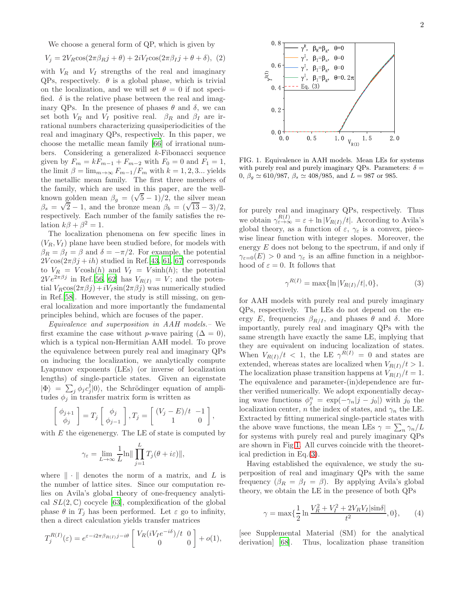We choose a general form of QP, which is given by

$$
V_j = 2V_R \cos(2\pi\beta_R j + \theta) + 2iV_I \cos(2\pi\beta_I j + \theta + \delta), \tag{2}
$$

with  $V_R$  and  $V_I$  strengths of the real and imaginary QPs, respectively.  $\theta$  is a global phase, which is trivial on the localization, and we will set  $\theta = 0$  if not specified.  $\delta$  is the relative phase between the real and imaginary QPs. In the presence of phases  $\theta$  and  $\delta$ , we can set both  $V_R$  and  $V_I$  positive real.  $\beta_R$  and  $\beta_I$  are irrational numbers characterizing quasiperiodicities of the real and imaginary QPs, respectively. In this paper, we choose the metallic mean family [\[66\]](#page-5-12) of irrational numbers. Considering a generalized k-Fibonacci sequence given by  $F_m = kF_{m-1} + F_{m-2}$  with  $F_0 = 0$  and  $F_1 = 1$ , the limit  $\beta = \lim_{m \to \infty} F_{m-1}/F_m$  with  $k = 1, 2, 3...$  yields the metallic mean family. The first three members of the family, which are used in this paper, are the wellknown golden mean  $\beta_g = (\sqrt{5} - 1)/2$ , the silver mean  $\beta_s = \sqrt{2} - 1$ , and the bronze mean  $\beta_b = (\sqrt{13} - 3)/2$ , respectively. Each number of the family satisfies the relation  $k\beta + \beta^2 = 1$ .

The localization phenomena on few specific lines in  $(V_R, V_I)$  plane have been studied before, for models with  $\beta_R = \beta_I = \beta$  and  $\delta = -\pi/2$ . For example, the potential  $2V\cos(2\pi\beta j + ih)$  studied in Ref.[\[43](#page-5-4), [61,](#page-5-5) [67\]](#page-5-13) corresponds to  $V_R = V \cosh(h)$  and  $V_I = V \sinh(h)$ ; the potential  $2Ve^{2\pi\beta j}$  in Ref.[\[56,](#page-5-7) [62](#page-5-8)] has  $V_{R(I)} = V$ ; and the potential  $V_R \cos(2\pi\beta j) + iV_I \sin(2\pi\beta j)$  was numerically studied in Ref.[\[58](#page-5-14)]. However, the study is still missing, on general localization and more importantly the fundamental principles behind, which are focuses of the paper.

Equivalence and superposition in AAH models.– We first examine the case without p-wave pairing  $(\Delta = 0)$ , which is a typical non-Hermitian AAH model. To prove the equivalence between purely real and imaginary QPs on inducing the localization, we analytically compute Lyapunov exponents (LEs) (or inverse of localization lengths) of single-particle states. Given an eigenstate  $|\Phi\rangle = \sum_j \phi_j c_j^{\dagger} |0\rangle$ , the Schrödinger equation of amplitudes  $\phi_j$  in transfer matrix form is written as

$$
\begin{bmatrix} \phi_{j+1} \\ \phi_j \end{bmatrix} = T_j \begin{bmatrix} \phi_j \\ \phi_{j-1} \end{bmatrix}, T_j = \begin{bmatrix} (V_j - E)/t & -1 \\ 1 & 0 \end{bmatrix},
$$

with  $E$  the eigenenergy. The LE of state is computed by

$$
\gamma_{\varepsilon} = \lim_{L \to \infty} \frac{1}{L} \ln \|\prod_{j=1}^{L} T_j(\theta + i\varepsilon)\|,
$$

where  $\|\cdot\|$  denotes the norm of a matrix, and L is the number of lattice sites. Since our computation relies on Avila's global theory of one-frequency analytical  $SL(2,\mathbb{C})$  cocycle [\[63](#page-5-9)], complexification of the global phase  $\theta$  in  $T_i$  has been performed. Let  $\varepsilon$  go to infinity, then a direct calculation yields transfer matrices

$$
T_j^{R(I)}(\varepsilon) = e^{\varepsilon - i2\pi \beta_{R(I)}j - i\theta} \begin{bmatrix} V_R(iV_I e^{-i\delta})/t & 0\\ 0 & 0 \end{bmatrix} + o(1),
$$



<span id="page-1-0"></span>FIG. 1. Equivalence in AAH models. Mean LEs for systems with purely real and purely imaginary QPs. Parameters:  $\delta =$ 0,  $\beta_g \simeq 610/987$ ,  $\beta_s \simeq 408/985$ , and  $L = 987$  or 985.

for purely real and imaginary QPs, respectively. Thus we obtain  $\gamma_{\varepsilon \to \infty}^{R(I)} = \varepsilon + \ln |V_{R(I)}/t|$ . According to Avila's global theory, as a function of  $\varepsilon$ ,  $\gamma_{\varepsilon}$  is a convex, piecewise linear function with integer slopes. Moreover, the energy  $E$  does not belong to the spectrum, if and only if  $\gamma_{\varepsilon=0}(E) > 0$  and  $\gamma_{\varepsilon}$  is an affine function in a neighborhood of  $\varepsilon = 0$ . It follows that

<span id="page-1-1"></span>
$$
\gamma^{R(I)} = \max\{\ln|V_{R(I)}/t|, 0\},\tag{3}
$$

for AAH models with purely real and purely imaginary QPs, respectively. The LEs do not depend on the energy E, frequencies  $\beta_{R/I}$ , and phases  $\theta$  and  $\delta$ . More importantly, purely real and imaginary QPs with the same strength have exactly the same LE, implying that they are equivalent on inducing localization of states. When  $V_{R(I)}/t$  < 1, the LE  $\gamma^{R(I)} = 0$  and states are extended, whereas states are localized when  $V_{R(I)}/t > 1$ . The localization phase transition happens at  $V_{R(I)}/t = 1$ . The equivalence and parameter-(in)dependence are further verified numerically. We adopt exponentially decaying wave functions  $\phi_j^n = \exp(-\gamma_n|j - j_0|)$  with j<sub>0</sub> the localization center, n the index of states, and  $\gamma_n$  the LE. Extracted by fitting numerical single-particle states with the above wave functions, the mean LEs  $\gamma = \sum_n \gamma_n / L$ for systems with purely real and purely imaginary QPs are shown in Fig[.1.](#page-1-0) All curves coincide with the theoretical prediction in Eq.[\(3\)](#page-1-1).

Having established the equivalence, we study the superposition of real and imaginary QPs with the same frequency  $(\beta_R = \beta_I = \beta)$ . By applying Avila's global theory, we obtain the LE in the presence of both QPs

<span id="page-1-2"></span>
$$
\gamma = \max\{\frac{1}{2}\ln\frac{V_R^2 + V_I^2 + 2V_RV_I|\sin\delta|}{t^2}, 0\},\qquad(4)
$$

[see Supplemental Material (SM) for the analytical derivation] [\[68](#page-5-15)]. Thus, localization phase transition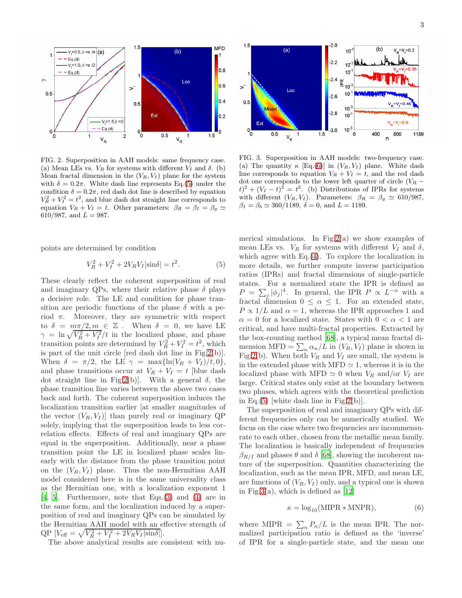

<span id="page-2-1"></span>FIG. 2. Superposition in AAH models: same frequency case. (a) Mean LEs vs.  $V_R$  for systems with different  $V_I$  and  $\delta$ . (b) Mean fractal dimension in the  $(V_R, V_I)$  plane for the system with  $\delta = 0.2\pi$ . White dash line represents Eq.[\(5\)](#page-2-0) under the condition  $\delta = 0.2\pi$ , red dash dot line is described by equation  $V_R^2 + V_I^2 = t^2$ , and blue dash dot straight line corresponds to equation  $V_R + V_I = t$ . Other parameters:  $\beta_R = \beta_I = \beta_g \simeq$ 610/987, and  $L = 987$ .

points are determined by condition

<span id="page-2-0"></span>
$$
V_R^2 + V_I^2 + 2V_R V_I |\sin \delta| = t^2.
$$
 (5)

These clearly reflect the coherent superposition of real and imaginary QPs, where their relative phase  $\delta$  plays a decisive role. The LE and condition for phase transition are periodic functions of the phase  $\delta$  with a period  $\pi$ . Moreover, they are symmetric with respect to  $\delta = m\pi/2, m \in \mathbb{Z}$ . When  $\delta = 0$ , we have LE  $\gamma = \ln \sqrt{V_R^2 + V_I^2}/t$  in the localized phase, and phase transition points are determined by  $V_R^2 + V_I^2 = t^2$ , which is part of the unit circle [red dash dot line in Fig[.2\(](#page-2-1)b)]. When  $\delta = \pi/2$ , the LE  $\gamma = \max{\ln(V_R + V_I)/t, 0}$ , and phase transitions occur at  $V_R + V_I = t$  [blue dash dot straight line in Fig[.2\(](#page-2-1)b). With a general  $\delta$ , the phase transition line varies between the above two cases back and forth. The coherent superposition induces the localization transition earlier [at smaller magnitudes of the vector  $(V_R, V_I)$  than purely real or imaginary QP solely, implying that the superposition leads to less correlation effects. Effects of real and imaginary QPs are equal in the superposition. Additionally, near a phase transition point the LE in localized phase scales linearly with the distance from the phase transition point on the  $(V_R, V_I)$  plane. Thus the non-Hermitian AAH model considered here is in the same universality class as the Hermitian one, with a localization exponent 1 [\[4,](#page-4-5) [5](#page-4-6)]. Furthermore, note that Eqs.[\(3\)](#page-1-1) and [\(4\)](#page-1-2) are in the same form, and the localization induced by a superposition of real and imaginary QPs can be simulated by the Hermitian AAH model with an effective strength of  $\text{QP}\left[V_{\text{eff}}=\sqrt{V_R^2+V_I^2+2V_RV_I|\text{sin}\delta|}\right].$ 

The above analytical results are consistent with nu-



<span id="page-2-3"></span>FIG. 3. Superposition in AAH models: two-frequency case. (a) The quantity  $\kappa$  [Eq.[\(6\)](#page-2-2)] in  $(V_R, V_I)$  plane. White dash line corresponds to equation  $V_R + V_I = t$ , and the red dash dot one corresponds to the lower left quarter of circle  $(V_R (t)^2 + (V_I - t)^2 = t^2$ . (b) Distributions of IPRs for systems with different  $(V_R, V_I)$ . Parameters:  $\beta_R = \beta_g \approx 610/987$ ,  $\beta_I = \beta_b \simeq 360/1189$ ,  $\delta = 0$ , and  $L = 1189$ .

merical simulations. In Fig.  $2(a)$  we show examples of mean LEs vs.  $V_R$  for systems with different  $V_I$  and  $\delta$ , which agree with  $Eq.(4)$  $Eq.(4)$ . To explore the localization in more details, we further compute inverse participation ratios (IPRs) and fractal dimensions of single-particle states. For a normalized state the IPR is defined as  $P = \sum_j |\phi_j|^4$ . In general, the IPR  $P \propto L^{-\alpha}$  with a fractal dimension  $0 \leq \alpha \leq 1$ . For an extended state,  $P \propto 1/L$  and  $\alpha = 1$ , whereas the IPR approaches 1 and  $\alpha = 0$  for a localized state. States with  $0 < \alpha < 1$  are critical, and have multi-fractal properties. Extracted by the box-counting method [\[68\]](#page-5-15), a typical mean fractal dimension MFD =  $\sum_n \alpha_n/L$  in  $(V_R, V_I)$  plane is shown in Fig[.2\(](#page-2-1)b). When both  $V_R$  and  $V_I$  are small, the system is in the extended phase with MFD  $\simeq$  1, whereas it is in the localized phase with MFD  $\simeq$  0 when  $V_R$  and/or  $V_I$  are large. Critical states only exist at the boundary between two phases, which agrees with the theoretical prediction in Eq.[\(5\)](#page-2-0) white dash line in Fig[.2\(](#page-2-1)b).

The superposition of real and imaginary QPs with different frequencies only can be numerically studied. We focus on the case where two frequencies are incommensurate to each other, chosen from the metallic mean family. The localization is basically independent of frequencies  $\beta_{R/I}$  and phases  $\theta$  and  $\delta$  [\[68\]](#page-5-15), showing the incoherent nature of the superposition. Quantities characterizing the localization, such as the mean IPR, MFD, and mean LE, are functions of  $(V_R, V_I)$  only, and a typical one is shown in Fig[.3\(](#page-2-3)a), which is defined as  $[12]$ 

<span id="page-2-2"></span>
$$
\kappa = \log_{10}(\text{MIPR} * \text{MNPR}),\tag{6}
$$

where MIPR  $= \sum_n P_n/L$  is the mean IPR. The normalized participation ratio is defined as the 'inverse' of IPR for a single-particle state, and the mean one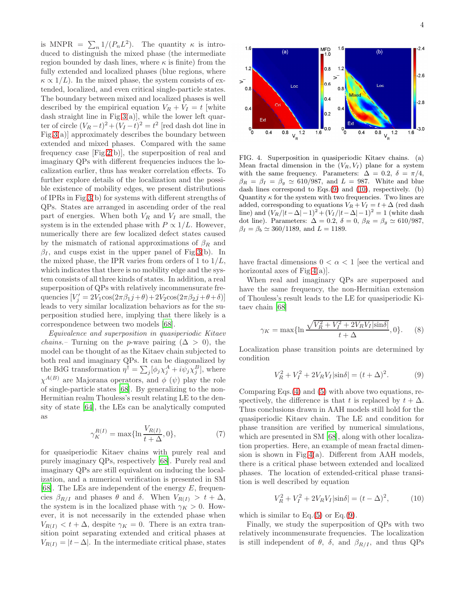is MNPR =  $\sum_{n} 1/(P_n L^2)$ . The quantity  $\kappa$  is introduced to distinguish the mixed phase (the intermediate region bounded by dash lines, where  $\kappa$  is finite) from the fully extended and localized phases (blue regions, where  $\kappa \propto 1/L$ ). In the mixed phase, the system consists of extended, localized, and even critical single-particle states. The boundary between mixed and localized phases is well described by the empirical equation  $V_R + V_I = t$  [white dash straight line in Fig[.3\(](#page-2-3)a)], while the lower left quarter of circle  $(V_R - t)^2 + (V_I - t)^2 = t^2$  [red dash dot line in Fig[.3\(](#page-2-3)a)] approximately describes the boundary between extended and mixed phases. Compared with the same frequency case [Fig[.2\(](#page-2-1)b)], the superposition of real and imaginary QPs with different frequencies induces the localization earlier, thus has weaker correlation effects. To further explore details of the localization and the possible existence of mobility edges, we present distributions of IPRs in Fig[.3\(](#page-2-3)b) for systems with different strengths of QPs. States are arranged in ascending order of the real part of energies. When both  $V_R$  and  $V_I$  are small, the system is in the extended phase with  $P \propto 1/L$ . However, numerically there are few localized defect states caused by the mismatch of rational approximations of  $\beta_R$  and  $\beta_I$ , and cusps exist in the upper panel of Fig[.3\(](#page-2-3)b). In the mixed phase, the IPR varies from orders of 1 to  $1/L$ , which indicates that there is no mobility edge and the system consists of all three kinds of states. In addition, a real superposition of QPs with relatively incommensurate frequencies  $[V'_j = 2V_1 \cos(2\pi\beta_1 j + \theta) + 2V_2 \cos(2\pi\beta_2 j + \theta + \delta)]$ leads to very similar localization behaviors as for the superposition studied here, implying that there likely is a correspondence between two models [\[68](#page-5-15)].

Equivalence and superposition in quasiperiodic Kitaev *chains.*– Turning on the *p*-wave pairing  $(\Delta > 0)$ , the model can be thought of as the Kitaev chain subjected to both real and imaginary QPs. It can be diagonalized by the BdG transformation  $\eta^{\dagger} = \sum_j [\phi_j \chi_j^A + i \psi_j \chi_j^B]$ , where  $\chi^{A(B)}$  are Majorana operators, and  $\phi$  ( $\psi$ ) play the role of single-particle states [\[68](#page-5-15)]. By generalizing to the non-Hermitian realm Thouless's result relating LE to the density of state [\[64\]](#page-5-10), the LEs can be analytically computed as

<span id="page-3-3"></span>
$$
\gamma_K^{R(I)} = \max\{\ln \frac{V_{R(I)}}{t + \Delta}, 0\},\tag{7}
$$

for quasiperiodic Kitaev chains with purely real and purely imaginary QPs, respectively [\[68](#page-5-15)]. Purely real and imaginary QPs are still equivalent on inducing the localization, and a numerical verification is presented in SM [\[68\]](#page-5-15). The LEs are independent of the energy  $E$ , frequencies  $\beta_{R/I}$  and phases  $\theta$  and  $\delta$ . When  $V_{R(I)} > t + \Delta$ , the system is in the localized phase with  $\gamma_K > 0$ . However, it is not necessarily in the extended phase when  $V_{R(I)} < t + \Delta$ , despite  $\gamma_K = 0$ . There is an extra transition point separating extended and critical phases at  $V_{R(I)} = |t-\Delta|$ . In the intermediate critical phase, states



<span id="page-3-2"></span>FIG. 4. Superposition in quasiperiodic Kitaev chains. (a) Mean fractal dimension in the  $(V_R, V_I)$  plane for a system with the same frequency. Parameters:  $\Delta = 0.2, \delta = \pi/4,$  $\beta_R = \beta_I = \beta_q \simeq 610/987$ , and  $L = 987$ . White and blue dash lines correspond to Eqs.[\(9\)](#page-3-0) and [\(10\)](#page-3-1), respectively. (b) Quantity  $\kappa$  for the system with two frequencies. Two lines are added, corresponding to equations  $V_R + V_I = t + \Delta$  (red dash line) and  $(V_R/|t-\Delta|-1)^2 + (V_I/|t-\Delta|-1)^2 = 1$  (white dash dot line). Parameters:  $\Delta = 0.2$ ,  $\delta = 0$ ,  $\beta_R = \beta_g \approx 610/987$ ,  $\beta_I = \beta_b \simeq 360/1189$ , and  $L = 1189$ .

have fractal dimensions  $0 < \alpha < 1$  [see the vertical and horizontal axes of Fig[.4\(](#page-3-2)a)].

When real and imaginary QPs are superposed and have the same frequency, the non-Hermitian extension of Thouless's result leads to the LE for quasiperiodic Kitaev chain [\[68\]](#page-5-15)

$$
\gamma_K = \max\{\ln \frac{\sqrt{V_R^2 + V_I^2 + 2V_R V_I |\sin \delta|}}{t + \Delta}, 0\}.
$$
 (8)

Localization phase transition points are determined by condition

<span id="page-3-0"></span>
$$
V_R^2 + V_I^2 + 2V_R V_I |\sin \delta| = (t + \Delta)^2.
$$
 (9)

Comparing Eqs.[\(4\)](#page-1-2) and [\(5\)](#page-2-0) with above two equations, respectively, the difference is that t is replaced by  $t + \Delta$ . Thus conclusions drawn in AAH models still hold for the quasiperiodic Kitaev chain. The LE and condition for phase transition are verified by numerical simulations, which are presented in SM [\[68](#page-5-15)], along with other localization properties. Here, an example of mean fractal dimension is shown in Fig[.4\(](#page-3-2)a). Different from AAH models, there is a critical phase between extended and localized phases. The location of extended-critical phase transition is well described by equation

<span id="page-3-1"></span>
$$
V_R^2 + V_I^2 + 2V_R V_I |\sin \delta| = (t - \Delta)^2, \tag{10}
$$

which is similar to  $Eq.(5)$  $Eq.(5)$  or  $Eq.(9)$  $Eq.(9)$ .

Finally, we study the superposition of QPs with two relatively incommensurate frequencies. The localization is still independent of  $\theta$ ,  $\delta$ , and  $\beta_{R/I}$ , and thus QPs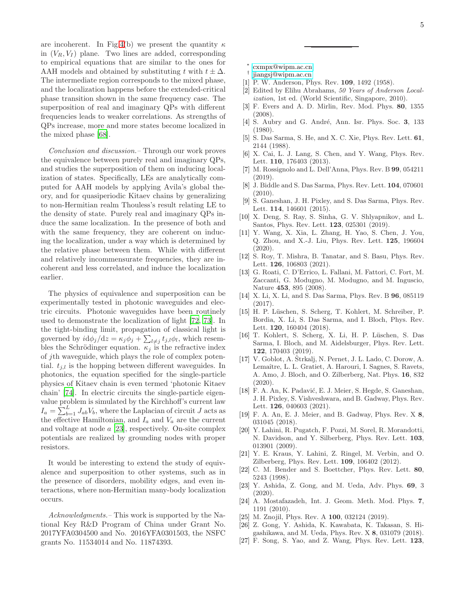are incoherent. In Fig[.4\(](#page-3-2)b) we present the quantity  $\kappa$ in  $(V_R, V_I)$  plane. Two lines are added, corresponding to empirical equations that are similar to the ones for AAH models and obtained by substituting t with  $t \pm \Delta$ . The intermediate region corresponds to the mixed phase, and the localization happens before the extended-critical phase transition shown in the same frequency case. The superposition of real and imaginary QPs with different frequencies leads to weaker correlations. As strengths of QPs increase, more and more states become localized in the mixed phase [\[68](#page-5-15)].

Conclusion and discussion.– Through our work proves the equivalence between purely real and imaginary QPs, and studies the superposition of them on inducing localization of states. Specifically, LEs are analytically computed for AAH models by applying Avila's global theory, and for quasiperiodic Kitaev chains by generalizing to non-Hermitian realm Thouless's result relating LE to the density of state. Purely real and imaginary QPs induce the same localization. In the presence of both and with the same frequency, they are coherent on inducing the localization, under a way which is determined by the relative phase between them. While with different and relatively incommensurate frequencies, they are incoherent and less correlated, and induce the localization earlier.

The physics of equivalence and superposition can be experimentally tested in photonic waveguides and electric circuits. Photonic waveguides have been routinely used to demonstrate the localization of light [\[72,](#page-5-16) [73\]](#page-5-17). In the tight-binding limit, propagation of classical light is governed by  $i d\phi_j/dz = \kappa_j \phi_j + \sum_{l \neq j} t_{j,l} \phi_l$ , which resembles the Schrödinger equation.  $\kappa_j$  is the refractive index of jth waveguide, which plays the role of complex potential.  $t_{i,l}$  is the hopping between different waveguides. In photonics, the equation specified for the single-particle physics of Kitaev chain is even termed 'photonic Kitaev chain' [\[74](#page-5-18)]. In electric circuits the single-particle eigenvalue problem is simulated by the Kirchhoff's current law  $I_a = \sum_{b=1}^{L} J_{ab} V_b$ , where the Laplacian of circuit J acts as the effective Hamiltonian, and  $I_a$  and  $V_a$  are the current and voltage at node a [\[23](#page-4-13)], respectively. On-site complex potentials are realized by grounding nodes with proper resistors.

It would be interesting to extend the study of equivalence and superposition to other systems, such as in the presence of disorders, mobility edges, and even interactions, where non-Hermitian many-body localization occurs.

Acknowledgments. – This work is supported by the National Key R&D Program of China under Grant No. 2017YFA0304500 and No. 2016YFA0301503, the NSFC grants No. 11534014 and No. 11874393.

- ∗ [cxmpx@wipm.ac.cn](mailto:cxmpx@wipm.ac.cn)
- <span id="page-4-1"></span><span id="page-4-0"></span>† [jiangsj@wipm.ac.cn](mailto:jiangsj@wipm.ac.cn)
- <span id="page-4-2"></span>[1] P. W. Anderson, Phys. Rev. 109, 1492 (1958).
- <span id="page-4-3"></span>[2] Edited by Elihu Abrahams, 50 Years of Anderson Localization, 1st ed. (World Scientific, Singapore, 2010).
- <span id="page-4-4"></span>[3] F. Evers and A. D. Mirlin, Rev. Mod. Phys. 80, 1355 (2008).
- <span id="page-4-5"></span>[4] S. Aubry and G. André, Ann. Isr. Phys. Soc. 3, 133 (1980).
- <span id="page-4-6"></span>[5] S. Das Sarma, S. He, and X. C. Xie, Phys. Rev. Lett. 61, 2144 (1988).
- [6] X. Cai, L. J. Lang, S. Chen, and Y. Wang, Phys. Rev. Lett. 110, 176403 (2013).
- [7] M. Rossignolo and L. Dell'Anna, Phys. Rev. B 99, 054211 (2019).
- [8] J. Biddle and S. Das Sarma, Phys. Rev. Lett. 104, 070601  $(2010)$ .
- [9] S. Ganeshan, J. H. Pixley, and S. Das Sarma, Phys. Rev. Lett. 114, 146601 (2015).
- [10] X. Deng, S. Ray, S. Sinha, G. V. Shlyapnikov, and L. Santos, Phys. Rev. Lett. 123, 025301 (2019).
- [11] Y. Wang, X. Xia, L. Zhang, H. Yao, S. Chen, J. You, Q. Zhou, and X.-J. Liu, Phys. Rev. Lett. 125, 196604 (2020).
- <span id="page-4-7"></span>[12] S. Roy, T. Mishra, B. Tanatar, and S. Basu, Phys. Rev. Lett. **126**, 106803 (2021).
- <span id="page-4-8"></span>[13] G. Roati, C. D'Errico, L. Fallani, M. Fattori, C. Fort, M. Zaccanti, G. Modugno, M. Modugno, and M. Inguscio, Nature 453, 895 (2008).
- [14] X. Li, X. Li, and S. Das Sarma, Phys. Rev. B 96, 085119 (2017).
- [15] H. P. L¨uschen, S. Scherg, T. Kohlert, M. Schreiber, P. Bordia, X. Li, S. Das Sarma, and I. Bloch, Phys. Rev. Lett. 120, 160404 (2018).
- [16] T. Kohlert, S. Scherg, X. Li, H. P. Lüschen, S. Das Sarma, I. Bloch, and M. Aidelsburger, Phys. Rev. Lett. 122, 170403 (2019).
- $[17]$  V. Goblot, A. Strkalj, N. Pernet, J. L. Lado, C. Dorow, A. Lemaître, L. L. Gratiet, A. Harouri, I. Sagnes, S. Ravets, A. Amo, J. Bloch, and O. Zilberberg, Nat. Phys. 16, 832 (2020).
- [18] F. A. An, K. Padavić, E. J. Meier, S. Hegde, S. Ganeshan, J. H. Pixley, S. Vishveshwara, and B. Gadway, Phys. Rev. Lett. **126**, 040603 (2021).
- <span id="page-4-9"></span>[19] F. A. An, E. J. Meier, and B. Gadway, Phys. Rev. X 8, 031045 (2018).
- <span id="page-4-10"></span>[20] Y. Lahini, R. Pugatch, F. Pozzi, M. Sorel, R. Morandotti, N. Davidson, and Y. Silberberg, Phys. Rev. Lett. 103, 013901 (2009).
- <span id="page-4-11"></span>[21] Y. E. Kraus, Y. Lahini, Z. Ringel, M. Verbin, and O. Zilberberg, Phys. Rev. Lett. 109, 106402 (2012).
- <span id="page-4-12"></span>[22] C. M. Bender and S. Boettcher, Phys. Rev. Lett. 80, 5243 (1998).
- <span id="page-4-13"></span>[23] Y. Ashida, Z. Gong, and M. Ueda, Adv. Phys. 69, 3 (2020).
- <span id="page-4-14"></span>[24] A. Mostafazadeh, Int. J. Geom. Meth. Mod. Phys. 7, 1191 (2010).
- <span id="page-4-15"></span>[25] M. Znojil, Phys. Rev. A **100**, 032124 (2019).
- <span id="page-4-16"></span>[26] Z. Gong, Y. Ashida, K. Kawabata, K. Takasan, S. Higashikawa, and M. Ueda, Phys. Rev. X 8, 031079 (2018).
- <span id="page-4-17"></span>[27] F. Song, S. Yao, and Z. Wang, Phys. Rev. Lett. 123,